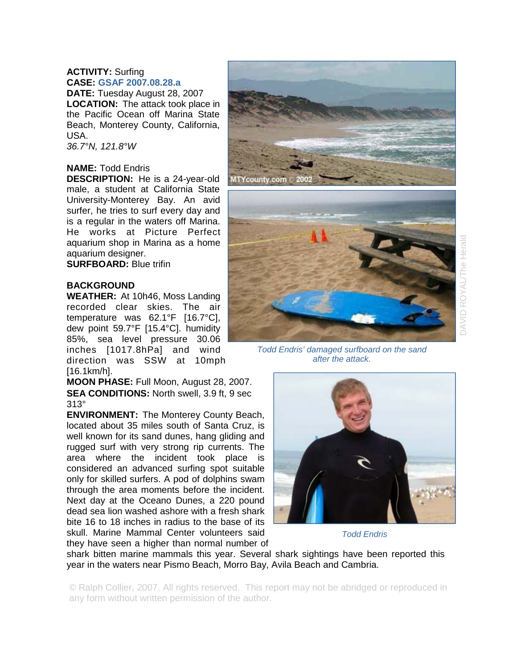# **ACTIVITY:** Surfing **CASE: GSAF 2007.08.28.a**

**DATE:** Tuesday August 28, 2007 **LOCATION:** The attack took place in the Pacific Ocean off Marina State Beach, Monterey County, California, USA.

*36.7°N, 121.8°W* 

# **NAME:** Todd Endris

**DESCRIPTION:** He is a 24-year-old male, a student at California State University-Monterey Bay. An avid surfer, he tries to surf every day and is a regular in the waters off Marina. He works at Picture Perfect aquarium shop in Marina as a home aquarium designer.

**SURFBOARD:** Blue trifin

## **BACKGROUND**

**WEATHER:** At 10h46, Moss Landing recorded clear skies. The air temperature was 62.1°F [16.7°C], dew point 59.7°F [15.4°C]. humidity 85%, sea level pressure 30.06 inches [1017.8hPa] and wind direction was SSW at 10mph [16.1km/h].

**MOON PHASE:** Full Moon, August 28, 2007. **SEA CONDITIONS:** North swell, 3.9 ft, 9 sec 313°

**ENVIRONMENT:** The Monterey County Beach, located about 35 miles south of Santa Cruz, is well known for its sand dunes, hang gliding and rugged surf with very strong rip currents. The area where the incident took place is considered an advanced surfing spot suitable only for skilled surfers. A pod of dolphins swam through the area moments before the incident. Next day at the Oceano Dunes, a 220 pound dead sea lion washed ashore with a fresh shark bite 16 to 18 inches in radius to the base of its skull. Marine Mammal Center volunteers said they have seen a higher than normal number of





*Todd Endris' damaged surfboard on the sand after the attack.* 



*Todd Endris*

shark bitten marine mammals this year. Several shark sightings have been reported this year in the waters near Pismo Beach, Morro Bay, Avila Beach and Cambria.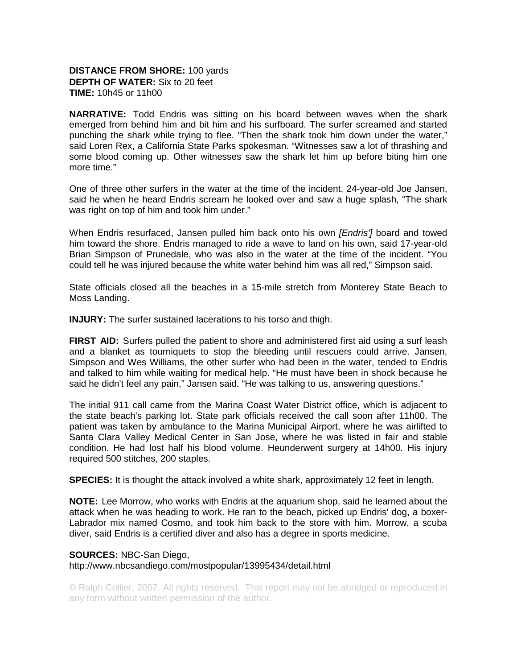# **DISTANCE FROM SHORE:** 100 yards **DEPTH OF WATER:** Six to 20 feet **TIME:** 10h45 or 11h00

**NARRATIVE:** Todd Endris was sitting on his board between waves when the shark emerged from behind him and bit him and his surfboard. The surfer screamed and started punching the shark while trying to flee. "Then the shark took him down under the water," said Loren Rex, a California State Parks spokesman. "Witnesses saw a lot of thrashing and some blood coming up. Other witnesses saw the shark let him up before biting him one more time."

One of three other surfers in the water at the time of the incident, 24-year-old Joe Jansen, said he when he heard Endris scream he looked over and saw a huge splash, "The shark was right on top of him and took him under."

When Endris resurfaced, Jansen pulled him back onto his own *[Endris']* board and towed him toward the shore. Endris managed to ride a wave to land on his own, said 17-year-old Brian Simpson of Prunedale, who was also in the water at the time of the incident. "You could tell he was injured because the white water behind him was all red," Simpson said.

State officials closed all the beaches in a 15-mile stretch from Monterey State Beach to Moss Landing.

**INJURY:** The surfer sustained lacerations to his torso and thigh.

**FIRST AID:** Surfers pulled the patient to shore and administered first aid using a surf leash and a blanket as tourniquets to stop the bleeding until rescuers could arrive. Jansen, Simpson and Wes Williams, the other surfer who had been in the water, tended to Endris and talked to him while waiting for medical help. "He must have been in shock because he said he didn't feel any pain," Jansen said. "He was talking to us, answering questions."

The initial 911 call came from the Marina Coast Water District office, which is adjacent to the state beach's parking lot. State park officials received the call soon after 11h00. The patient was taken by ambulance to the Marina Municipal Airport, where he was airlifted to Santa Clara Valley Medical Center in San Jose, where he was listed in fair and stable condition. He had lost half his blood volume. Heunderwent surgery at 14h00. His injury required 500 stitches, 200 staples.

**SPECIES:** It is thought the attack involved a white shark, approximately 12 feet in length.

**NOTE:** Lee Morrow, who works with Endris at the aquarium shop, said he learned about the attack when he was heading to work. He ran to the beach, picked up Endris' dog, a boxer-Labrador mix named Cosmo, and took him back to the store with him. Morrow, a scuba diver, said Endris is a certified diver and also has a degree in sports medicine.

#### **SOURCES:** NBC-San Diego,

http://www.nbcsandiego.com/mostpopular/13995434/detail.html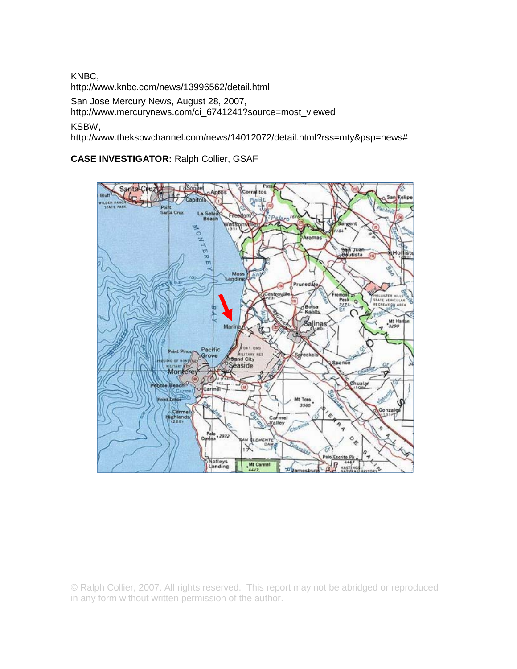KNBC,

http://www.knbc.com/news/13996562/detail.html

San Jose Mercury News, August 28, 2007,

http://www.mercurynews.com/ci\_6741241?source=most\_viewed

KSBW,

http://www.theksbwchannel.com/news/14012072/detail.html?rss=mty&psp=news#

**CASE INVESTIGATOR:** Ralph Collier, GSAF

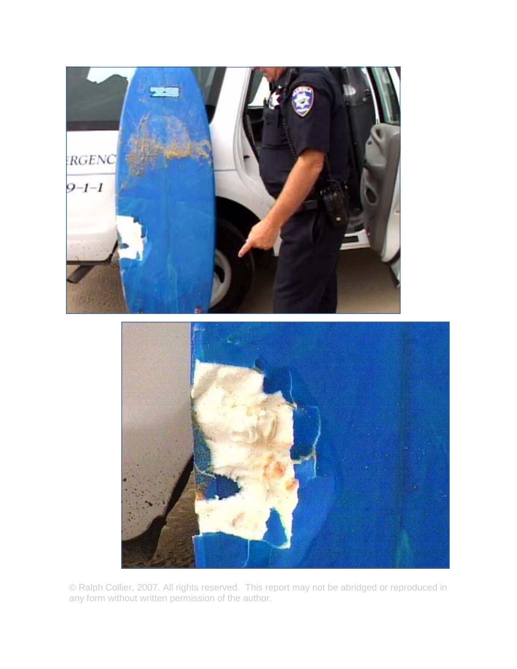